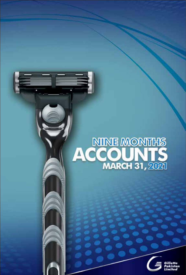# NINE MONTHS<br>**ACCOUNTS**<br>MARCH 31, 2021

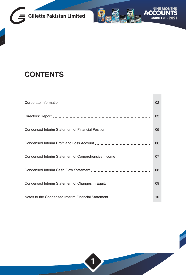



## **CONTENTS**

|                                                                               | 02 |
|-------------------------------------------------------------------------------|----|
|                                                                               | 03 |
| Condensed Interim Statement of Financial Position $2 - 2 - 2 - 2 - 2 - 2 - 2$ | 05 |
| Condensed Interim Profit and Loss Account $2 - 2 - 2 - 2 - 2 - 2 - 2 - 2$     | 06 |
| Condensed Interim Statement of Comprehensive Income______________             | 07 |
| Condensed Interim Cash Flow Statement $2 - 2 - 2 - 2 - 2 - 2 - 2 - 2$         | 08 |
| Condensed Interim Statement of Changes in Equity $2 - 2 - 2 - 2 - 2 - 2 - 2$  | 09 |
| Notes to the Condensed Interim Financial Statement $2 - 2 - 2 - 2 - 2 - 2$    | 10 |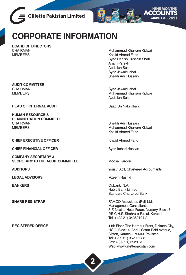



## **CORPORATE INFORMATION**

BOARD OF DIRECTORS CHAIRMAN **MEMBERS** 

Muhammad Khurram Kidwai Khalid Ahmed Farid Syed Danish Hussain Shah Anam Parekh Abdullah Saleh Sved Jawaid Igbal Sheikh Adil Hussain

Syed Jawaid Iqbal Muhammad Khurram Kidwai Abdullah Saleh

Saad Un Nabi Khan

Sheikh Adil Hussain Muhammad Khurram Kidwai Khalid Ahmed Farid

Khalid Ahmed Farid

Sved Irshad Hassan

Moosa Haroon

Yousuf Adil, Chartered Accountants

Azeem Rashid

Citibank, N.A. Habib Bank Limted **Standard Chartered Bank** 

FAMCO Associates (Pvt) Ltd. Management Consultants, 8-F, Next to Hotel Faran, Nursery, Block-6, P.E.C.H.S. Shahra-e-Faisal, Karachi Tel: + (92 21) 34380101-2

11th Floor, The Harbour Front, Dolmen City, HC-3, Block-4, Abdul Sattar Edhi Avenue, Clifton, Karachi - 75600, Pakistan. Tel: + (92 21) 3520 5088 Fax: + (92 21) 3529 6150 Web: www.qillettepakistan.com

**AUDIT COMMITTEE CHAIRMAN MEMBERS** 

**HEAD OF INTERNAL AUDIT** 

**HUMAN RESOURCE & REMUNERATION COMMITTEE CHAIRMAN MFMBFRS** 

**CHIEF EXECUTIVE OFFICER** 

**CHIEF FINANCIAL OFFICER** 

**COMPANY SECRETARY & SECRETARY TO THE AUDIT COMMITTEE** 

**AUDITORS** 

**LEGAL ADVISORS** 

**BANKERS** 

**SHARE REGISTRAR** 

**REGISTERED OFFICE**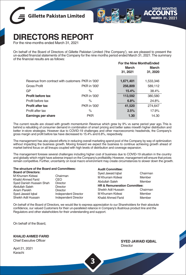



# **DIRECTORS REPORT**

For the nine-months ended March 31, 2021

On behalf of the Board of Directors of Gillette Pakistan Limited ('the Company'), we are pleased to present the un-audited financial statements of the Company for the nine months period ended March 31, 2021. The summary of the financial results are as follows:

|              | March<br>31, 2021                                 | For the Nine MonthsEnded<br>March<br>31, 2020 |
|--------------|---------------------------------------------------|-----------------------------------------------|
|              | 1,671,401                                         | 1,533,346                                     |
| PKR in '000' | 256,809                                           | 589,112                                       |
| $\%$         | 15.4%                                             | 38.4%                                         |
| PKR in '000' | 113,592                                           | 380,580                                       |
| $\%$         | 6.8%                                              | 24.8%                                         |
| PKR in '000' | 41,520                                            | 274,647                                       |
| %            | 2.5%                                              | 17.9%                                         |
| <b>PKR</b>   | 1.30                                              | 14.30                                         |
|              | Revenue from contract with customers PKR in '000' |                                               |

The current results are closed with growth momentumin Revenue which grew by 9% vs same period year ago. This is behind a rebuilding of consumer demand in combination of smart pricing and better sales mixwith higher distribution and better in-store strategies. However due to COVID-19 challenges and other macroeconomic headwinds, the Company's gross margin and profit before tax have decreased to 15.4% and 6.8%, respectively.

The management has also placed efforts in reducing overall marketing spend pool of the Company by way of optimization without impacting the business growth. Moving forward we expect the business to continue achieving growth ahead of market behind focus on all lineups coupled with high levels of distribution and coverage expansion.

The management foresee several challenges including higher cost of business due to COVID-19 situation in the country and globally which might have adverse impact on the Company's profitability. However, management will ensure that prices remain competitive. Further, uncertainty on local macro environment may create circumstances to slower down the growth.

| The structure of the Board and Committees:                                                                                                                                    |                                                                                                                           | <b>Audit Committee:</b>                                                                                                                                                    |                                                              |  |
|-------------------------------------------------------------------------------------------------------------------------------------------------------------------------------|---------------------------------------------------------------------------------------------------------------------------|----------------------------------------------------------------------------------------------------------------------------------------------------------------------------|--------------------------------------------------------------|--|
| <b>Board of Directors:</b><br>M Khurram Kidwai<br>Khalid Ahmed Farid<br>Syed Danish Hussain Shah<br>Abdullah Saleh<br>Anam Parekh<br>Syed Jawaid Igbal<br>Sheikh Adil Hussain | Chairman<br>CEO.<br><b>Director</b><br><b>Director</b><br>Director<br>Independent Director<br><b>Independent Director</b> | Syed Jawaid Igbal<br>M Khurram Kidwai<br>Abdullah Saleh<br><b>HR &amp; Remuneration Committee:</b><br>Sheikh Adil Hussain<br>M Khurram Kidwai<br><b>Khalid Ahmed Farid</b> | Chairman<br>Member<br>Member<br>Chairman<br>Member<br>Member |  |
|                                                                                                                                                                               |                                                                                                                           |                                                                                                                                                                            |                                                              |  |

On behalf of the Board of Directors, we would like to express appreciation to our Shareholders for their absolute confidence, our valued Customers for their un-paralleled reliance in Company's illustrious product line and the Regulators and other stakeholders for their understanding and support.

**3**

On behalf of the Board,

**KHALID AHMED FARID**

Chief Executive Officer

April 21, 2021 Karachi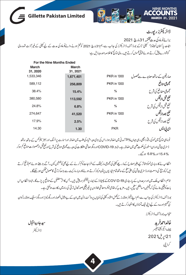

| For the Nine Months Ended |           |                    |                               |
|---------------------------|-----------|--------------------|-------------------------------|
| March                     | March     |                    |                               |
| 31, 2020                  | 31, 2021  |                    |                               |
| 1,533,346                 | 1,671,401 | PKR in '000        | صارفین کےساتھ معامدے سے محصول |
| 589,112                   | 256,809   | <b>PKR</b> in '000 | مجموعى منافع                  |
| 38.4%                     | 15.4%     | %                  | مجموعى منفافع كى شرح          |
| 380,580                   | 113,592   | PKR in '000        | نفع قبل ازنيكس                |
| 24.8%                     | 6.8%      | %                  | نفع قبل ازٹیکس کی شرح         |
| 274.647                   | 41,520    | PKR in '000        | نفع بعدازتيكس                 |
| 17.9%                     | 2.5%      | %                  | نفع بعداز ٹیکس کی شرح         |
| 14.30                     | 1.30      | <b>PKR</b>         | ای پی ایس                     |

نو مائی نتائج میں نموکی رفاراچھی رہی جہاں% 9 مدنی میں اضافہ ہوا۔اس کی بڑی دحبہ اشیاءکی طلب میں اضافہ اور اسارٹ پرائٹک اور بہتر سلزمکس کے ساتھ ساتھ ڈسٹری بیوٹن اوران اسٹور کی حکمت علمی میں اضافہ ہے۔البتہ 19- COVID اور بگرمعاشی مشکلات کی دجہ سے مجموعی منافع کی شرح اورنفع قبل ازمحصولات منافع کم ہوکر 15.4 % 6.8 ہوگئے۔

انتظامیہ نے کاروباری نموکومتاثر کے بغیراصلاح کے ذریعے کمپنی کی مجموعی مارکیٹنگ کے افراد کے ساتھ کے ان سے سال پڑھتے ہوئے ہم تو قع کرتے ہیں کہ کوریج کی دسعت اورڈسٹری پیشن کی اعلیٰ سطحے ساتھ تمام تیار ہیں یرتوجہ مرکوز کرتے ہوئے کاروبار مارکیٹ سے بڑھ کرتر تی کاحصول ممکن ہو سکے گا۔

تاہم،انظامیہ ملک میںاورسرحدوں کے پار جاری COVID-19کے پھیلاؤ کےایماء پیلنجز در پیش ہیں۔جس کاانژ متغتبل کےمنافع پریڑےگا۔البتہا نظامیہاس بات کوتینی بنائے گی کہ قیمتیں مسابقطی سطح پرر میں۔مزید س<sub>ی</sub>کر متازی کانونوں پر غیر تینی صورتحال تر قی کی راہ میں رکاوٹ ہوسکتی ہے۔

بورڈ آف ڈائریکٹرز کی جانب سے،ہم اپنےشیئر ہولڈرز کے کمل اعتماد کمپنی کی نمایاں پروڈ کٹ لائن لاسک بے مثال انھماراورریگولیٹرز اور دیگراسٹیک ہولڈرزکوان کی تفہیم اور مدد کے لیے اپنی نیک تمناؤں کااظہارکرتے ہیں۔

منجانب بورڈ آف ڈائریکٹرز

خالداحمرفريد چيف ايگزيکڻيوآ فيسر 21 يريل2021 کراچی

سيدجاويدا قبال ڈائریکٹر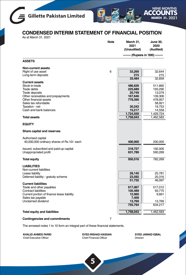



### **CONDENSED INTERIM STATEMENT OF FINANCIAL POSITION**

As at March 31, 2021

|                                            | <b>Note</b> | March 31,<br>2021<br>(Unaudited) | June 30,<br>2020<br>(Audited) |
|--------------------------------------------|-------------|----------------------------------|-------------------------------|
|                                            |             |                                  | · (Rupees in '000) --         |
| <b>ASSETS</b>                              |             |                                  |                               |
| <b>Non-current assets</b>                  |             |                                  |                               |
| Right of use asset                         | 6           | 33,269                           | 32,644                        |
| Long-term deposits                         |             | 215<br>33.484                    | 215<br>32,859                 |
| <b>Current assets</b>                      |             |                                  |                               |
| Stock-in-trade                             |             | 486,626                          | 511,860                       |
| Trade debts                                |             | 225,689                          | 193,290                       |
| Trade deposits                             |             | 20,749                           | 13,079                        |
| Other receivables and prepayments          |             | 167,646                          | 139,306                       |
| Other financial assets                     |             | 778,390                          | 478,957                       |
| Sales tax refundable                       |             |                                  | 58,921                        |
| Taxation - net                             |             | 30,242                           | 19,753                        |
| Cash and bank balances                     |             | 15,217                           | 14,558                        |
|                                            |             | 1,724,559                        | 1,429,724                     |
| <b>Total assets</b>                        |             | 1,758,043                        | 1,462,583                     |
| <b>EQUITY</b>                              |             |                                  |                               |
| Share capital and reserves                 |             |                                  |                               |
| Authorised capital                         |             |                                  |                               |
| 40,000,000 ordinary shares of Rs.10/- each |             | 400,000                          | 200,000                       |
| Issued, subscribed and paid-up capital     |             | 318,727                          | 192,000                       |
| Unappropriated profit                      |             | 631,789                          | 590,269                       |
| <b>Total equity</b>                        |             | 950,516                          | 782,269                       |
|                                            |             |                                  |                               |
| <b>LIABILITIES</b>                         |             |                                  |                               |
| Non-current liabilities                    |             |                                  |                               |
| Lease liability                            |             | 28,140                           | 25,781                        |
| Deferred liability - gratuity scheme       |             | 23,592<br>51,732                 | 20,316<br>46,097              |
| <b>Current liabilities</b>                 |             |                                  |                               |
| Trade and other payables                   |             | 617,067                          | 517,012                       |
| <b>Contract liabilities</b>                |             | 105,489                          | 93,775                        |
| Current portion of finance lease liability |             | 12,060                           | 9,661                         |
| Sales tax payable                          |             | 7,409                            |                               |
| Unclaimed dividend                         |             | 13,769                           | 13.769                        |
|                                            |             | 755,794                          | 634,217                       |
| <b>Total equity and liabilities</b>        |             | 1,758,043                        | 1,462,583                     |
|                                            |             |                                  |                               |
| <b>Contingencies and commitments</b>       | 7           |                                  |                               |

The annexed notes 1 to 10 form an integral part of these financial statements.

**KHALID AHMED FARID** Chief Executive Officer

**SYED IRSHAD HASSAN** Chief Financial Officer

**5**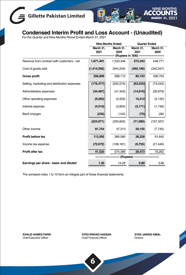## **Gillette Pakistan Limited**



## **Condensed Interim Profit and Loss Account - (Unaudited)** For the Quarter and Nine Months Period Ended March 31, 2021

|                                              |                   | <b>Nine Months Ended</b> |                   | <b>Quarter Ended</b> |  |
|----------------------------------------------|-------------------|--------------------------|-------------------|----------------------|--|
|                                              | March 31,<br>2021 | March 31,<br>2020        | March 31,<br>2021 | March 31,<br>2020    |  |
|                                              |                   | (Rupees in '000) -       |                   |                      |  |
| Revenue from contract with customers - net   | 1,671,401         | 1,533,346                | 572,343           | 548,771              |  |
| Cost of goods sold                           | (1,414,592)       | (944, 234)               | (492, 190)        | (342, 047)           |  |
| <b>Gross profit</b>                          | 256,809           | 589,112                  | 80,153            | 206,724              |  |
| Selling, marketing and distribution expenses | (176, 477)        | (205, 574)               | (63, 535)         | (73, 444)            |  |
| Administrative expenses                      | (34, 487)         | (41, 343)                | (14, 616)         | (26, 979)            |  |
| Other operating expenses                     | (9,262)           | (4,932)                  | 10,312            | (5, 132)             |  |
| Interest expense                             | (4,510)           | (3,854)                  | (3, 171)          | (1,746)              |  |
| <b>Bank charges</b>                          | (235)             | (142)                    | (70)              | (36)                 |  |
|                                              | (224, 971)        | (255, 845)               | (71,080)          | (107, 337)           |  |
| Other income                                 | 81,754            | 47,313                   | 29,155            | (7, 745)             |  |
| Profit before tax                            | 113,592           | 380,580                  | 38,228            | 91,642               |  |
| Income tax expense                           | (72,072)          | (106, 181)               | (9,755)           | (21, 440)            |  |
| Profit after tax                             | 41,520            | 274,399                  | 28,473            | 70,202               |  |
|                                              | (Rupees)          |                          |                   |                      |  |
| Earnings per share - basic and diluted       | 1.30              | 14.29                    | 0.89              | 3.66                 |  |

The annexed notes 1 to 10 form an integral part of these financial statements.

**KHALID AHMED FARID** Chief Executive Officer

**SYED IRSHAD HASSAN** Chief Financial Officer

**SYED JAWAID IQBAL** Director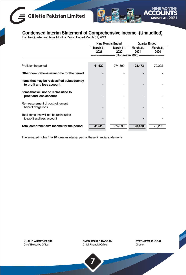## **Gillette Pakistan Limited**



## **Condensed Interim Statement of Comprehensive Income -(Unaudited)** For the Quarter and Nine Months Period Ended March 31, 2021

|                                                                           |                   | <b>Nine Months Ended</b>                 |                   | <b>Quarter Ended</b> |  |
|---------------------------------------------------------------------------|-------------------|------------------------------------------|-------------------|----------------------|--|
|                                                                           | March 31.<br>2021 | March 31.<br>2020<br>(Rupees in '000) -- | March 31.<br>2021 | March 31,<br>2020    |  |
| Profit for the period                                                     | 41,520            | 274,399                                  | 28,473            | 70,202               |  |
| Other comprehensive income for the period                                 |                   |                                          |                   |                      |  |
| Items that may be reclassified subsequently<br>to profit and loss account |                   |                                          |                   |                      |  |
| Items that will not be reclassified to<br>profit and loss account         |                   |                                          |                   |                      |  |
| Remeasurement of post retirement<br>benefit obligations                   |                   |                                          |                   |                      |  |
| Total items that will not be reclassified<br>to profit and loss account   |                   |                                          |                   |                      |  |
| Total comprehensive income for the period                                 | 41,520            | 274,399                                  | 28,473            | 70,202               |  |

The annexed notes 1 to 10 form an integral part of these financial statements.

**KHALID AHMED FARID** Chief Executive Officer

**SYED IRSHAD HASSAN** Chief Financial Officer

**7**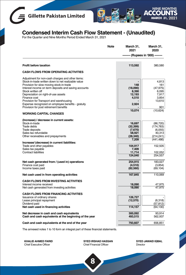



## **Condensed Interim Cash Flow Statement - (Unaudited)** For the Quarter and Nine Months Period Ended March 31, 2021

|                                                                                                                                                                                                                                                                                                                                                                                                                                    | Note | March 31,<br>2021                                              | March 31,<br>2020                                                                 |
|------------------------------------------------------------------------------------------------------------------------------------------------------------------------------------------------------------------------------------------------------------------------------------------------------------------------------------------------------------------------------------------------------------------------------------|------|----------------------------------------------------------------|-----------------------------------------------------------------------------------|
|                                                                                                                                                                                                                                                                                                                                                                                                                                    |      |                                                                | · (Rupees in '000) -                                                              |
| Profit before taxation                                                                                                                                                                                                                                                                                                                                                                                                             |      | 113,592                                                        | 380,580                                                                           |
| <b>CASH FLOWS FROM OPERATING ACTIVITIES</b>                                                                                                                                                                                                                                                                                                                                                                                        |      |                                                                |                                                                                   |
| Adjustment for non-cash charges and other items:<br>Stock-in-trade written down to net realizable value<br>Provision for slow moving stock-in-trade<br>Interest income on term deposits and saving accounts<br>Stock written off<br>Depreciation on right-of-use assets<br>Finance cost<br>Provision for Transport and warehousing<br>Expense recognized on employee benefits - gratuity<br>Provision for post retirement benefits |      | 148<br>(18.090)<br>8,390<br>12,193<br>4,510<br>2,924<br>10,074 | 4.813<br>161<br>(47, 975)<br>6,095<br>7,917<br>3,854<br>13,610<br>901<br>(10,624) |
| <b>WORKING CAPITAL CHANGES</b>                                                                                                                                                                                                                                                                                                                                                                                                     |      |                                                                |                                                                                   |
| (Increase) / decrease in current assets:<br>Stock-in-trade<br><b>Trade debts</b><br>Trade deposits<br>Sales tax refundable<br>Other receivables and prepayments                                                                                                                                                                                                                                                                    |      | 16,697<br>(32, 399)<br>(7,670)<br>58,921<br>(28, 340)<br>7,209 | (86, 720)<br>(174, 783)<br>(6,055)<br>40,313<br>(214, 241)<br>(441, 486)          |
| Increase/ (decrease) in current liabilities:<br>Trade and other payables<br>Sales tax payable<br><b>Contract liabilities</b>                                                                                                                                                                                                                                                                                                       |      | 104,917<br>7,409<br>11,714<br>124,040                          | 152,505<br>102,052<br>254,557                                                     |
| Net cash generated from / (used in) operations<br>Finance cost paid<br>Income taxes paid                                                                                                                                                                                                                                                                                                                                           |      | 254,915<br>(4,510)<br>(82, 560)                                | 183.027<br>(3,854)<br>(69, 104)                                                   |
| Net cash used in from operating activities                                                                                                                                                                                                                                                                                                                                                                                         |      | 167,845                                                        | 110,069                                                                           |
| <b>CASH FLOWS FROM INVESTING ACTIVITIES</b><br>Interest income received<br>Net cash generated from investing activities                                                                                                                                                                                                                                                                                                            |      | 18,090<br>18,090                                               | 47,975<br>47,975                                                                  |
| <b>CASH FLOWS FROM FINANCING ACTIVITIES</b><br><b>Issuance of ordinary shares</b><br>Lease principal repayment<br>Dividend paid<br>Net cash used in financing activities                                                                                                                                                                                                                                                           |      | 126,727<br>(12,570)<br>114,157                                 | (6,318)<br>(57,812)<br>(64, 130)                                                  |
| Net decrease in cash and cash equivalents<br>Cash and cash equivalents at the beginning of the year                                                                                                                                                                                                                                                                                                                                |      | 300,092<br>493,515                                             | 93,914<br>562,937                                                                 |
| Cash and cash equivalents at the end of the year                                                                                                                                                                                                                                                                                                                                                                                   |      | 793,607                                                        | 656,851                                                                           |
|                                                                                                                                                                                                                                                                                                                                                                                                                                    |      |                                                                |                                                                                   |

The annexed notes 1 to 10 form an integral part of these financial statements.

**KHALID AHMED FARID** Chief Executive Officer

**SYED IRSHAD HASSAN** Chief Financial Officer

**8**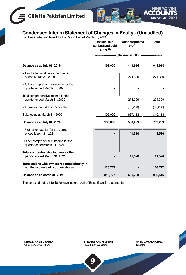# **Gillette Pakistan Limited**



## **Condensed Interim Statement of Changes in Equity - (Unaudited)** For the Quarter and Nine Months Period Ended March 31, 2021

|                                                                                     | Issued, sub-<br>scribed and paid-<br>up capital | Unappropriated<br>profit | <b>Total</b> |
|-------------------------------------------------------------------------------------|-------------------------------------------------|--------------------------|--------------|
|                                                                                     |                                                 | (Rupees in '000)         |              |
| Balance as at July 01, 2019                                                         | 192,000                                         | 449.914                  | 641,914      |
| - Profit after taxation for the quarter<br>ended March 31, 2020                     |                                                 | 274,399                  | 274,399      |
| - Other comprehensive income for the<br>quarter ended March 31, 2020                |                                                 |                          |              |
| Total comprehensive income for the<br>quarter ended March 31, 2020                  |                                                 | 274,399                  | 274,399      |
| Interim dividend @ Rs 3.5 per share                                                 |                                                 | (67, 200)                | (67, 200)    |
| Balance as at March 31, 2020                                                        | 192,000                                         | 657,113                  | 849,113      |
| Balance as at July 01, 2020                                                         | 192,000                                         | 590,269                  | 782,269      |
| - Profit after taxation for the quarter<br>ended March 31, 2021                     |                                                 | 41,520                   | 41,520       |
| - Other comprehensive income for the<br>quarter endedMarch 31, 2021                 |                                                 |                          |              |
| Total comprehensive income for the<br>period ended March 31, 2021                   |                                                 | 41,520                   | 41,520       |
| Transactions with owners recorded directly in<br>equity Issuance of ordinary shares | 126,727                                         |                          | 126,727      |
| Balance as at March 31, 2021                                                        | 318,727                                         | 631,789                  | 950,516      |

The annexed notes 1 to 10 form an integral part of these financial statements.

**KHALID AHMED FARID** Chief Executive Officer

**SYED IRSHAD HASSAN** Chief Financial Officer

**SYED JAWAID IQBAL** Director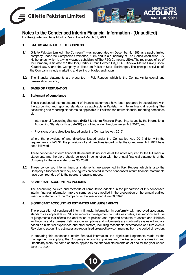



**Notes to the Condensed Interim Financial Information - (Unaudited)**

For the Quarter and Nine Months Period Ended March 31, 2021

#### **1. STATUS AND NATURE OF BUSINESS**

- **1.1** Gillette Pakistan Limited ("the Company") was incorporated on December 9, 1986 as a public limited company under the Companies Ordinance, 1984 and is a subsidiary of The Series Acquisition B.V. Netherlands (which is a wholly owned subsidiary of The P&G Company, USA).The registered office of the Company is situated at 11th Floor, Harbour Front, Dolmen City, HC-3, Block-4, Marine Drive, Clifton, Karachi-75600 and the Company is listed on Pakistan Stock Exchanges. The principal activities of the Company include marketing and selling of blades and razors.
- **1.2** The financial statements are presented in Pak Rupees, which is the Company's functional and presentation currency.

#### **2. BASIS OF PREPARATION**

#### **2.1 Statement of compliance**

These condensed interim statement of financial statements have been prepared in accordance with the accounting and reporting standards as applicable in Pakistan for interim financial reporting. The accounting and reporting standards as applicable in Pakistan for interim financial reporting comprises of:

- International Accounting Standard (IAS) 34, Interim Financial Reporting, issued by the International Accounting Standards Board (IASB) as notified under the Companies Act, 2017; and
- Provisions of and directives issued under the Companies Act, 2017.

Where the provisions of and directives issued under the Companies Act, 2017 differ with the requirements of IAS 34, the provisions of and directives issued under the Companies Act, 2017 have been followed.

These condensed interim financial statements do not include all the notes required for the full financial statements and therefore should be read in conjunction with the annual financial statements of the Company for the year ended June 30, 2020.

**2.2** These condensed interim financial statements are presented in Pak Rupees which is also the Company's functional currency and figures presented in these condensed interim financial statements have been rounded off to the nearest thousand rupees.

#### **3. SIGNIFICANT ACCOUNTING POLICIES**

The accounting policies and methods of computation adopted in the preparation of this condensed interim financial information are the same as those applied in the preparation of the annual audited financial statements of the Company for the year ended June 30, 2020.

#### **4. SIGNIFICANT ACCOUNTING ESTIMATES AND JUDGEMENTS**

The preparation of condensed interim financial information in conformity with approved accounting standards as applicable in Pakistan requires management to make estimates, assumptions and use of judgements that affects the application of policies and reported amounts of assets and liabilities and income and expenses.Estimates, assumptions and judgements are continually evaluated and are based on historical experience and other factors, including reasonable expectations of future events. Revision to accounting estimates are recognised prospectively commencing from the period of revision.

In preparing this condensed interim financial information, the significant judgements made by the management in applying the Company's accounting policies and the key source of estimation and uncertainty were the same as those applied to the financial statements as at and for the year ended June 30, 2020.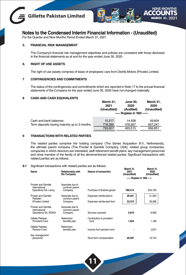



**Notes to the Condensed Interim Financial Information - (Unaudited)**

For the Quarter and Nine Months Period Ended March 31, 2021

#### **5. FINANCIAL RISK MANAGEMENT**

 The Company's financial risk management objectives and policies are consistent with those disclosed in the financial statements as at and for the year ended June 30, 2020.

#### **6. RIGHT OF USE ASSETS**

The right of use assets comprise of lease of employees' cars from Deinfa Motors (Private) Limited.

#### **7 CONTINGENCIES AND COMMITMENTS**

 The status of the contingencies and commitments which are reported in Note 17 to the annual financial statements of the Company for the year ended June 30, 2020 have not changed materially.

#### **8 CASH AND CASH EQUIVALENTS**

|                                              | March 31,<br>2021<br>(Unaudited) | <b>June 30,</b><br>2020<br>(Audited) | March 31,<br>2020<br>(Unaudited) |
|----------------------------------------------|----------------------------------|--------------------------------------|----------------------------------|
|                                              |                                  | ----- Rupees in '000 ------          |                                  |
| Cash and bank balances                       | 15.217                           | 14.558                               | 49.604                           |
| Term deposits having maturity up to 3 months | 778,390                          | 478.957                              | 607.247                          |
|                                              | 793,607                          | 493,515                              | 656,851                          |

#### **9 TRANSACTIONS WITH RELATED PARTIES**

 The related parties comprise the holding company (The Series Acquisition B.V., Netherlands), the ultimate parent company (The Procter & Gamble Company, USA), related group companies, companies in which directors are interested, staff retirement benefit plans, key management personnel and close member of the family of all the aforementioned related parties. Significant transactions with related parties are as follows:

#### **9.1** Significant transactions with related parties are as follows:

| Name                                                        | <b>Relationship with</b><br>the Company      | Nature of transaction             | March 31,<br>2021<br>(Unaudited) | March 31,<br>2020<br>(Unaudited) |
|-------------------------------------------------------------|----------------------------------------------|-----------------------------------|----------------------------------|----------------------------------|
|                                                             |                                              |                                   | ----- Rupees in '000 ------      |                                  |
| Procter and Gamble<br>International<br>Operations SA, Lancy | Associate due to<br>common parent<br>Company | Purchase of finished goods        | 789.413                          | 934,793                          |
| Procter and Gamble                                          | Associate due to                             | Expenses reimbursed to            | 26,541                           | 51,563                           |
| Pakistan<br>(Private) Limited                               | common parent<br>Company                     | Expenses reimbursed from          | 33,310                           | 36,288                           |
| Procter and Gamble<br>International<br>Operations SA, ROHQ  | Associate due to<br>common parent<br>Company | Services received                 | 5.819                            | 6,956                            |
| Gillette Pakistan<br>Provident Fund                         | Retirement<br>benefits plan                  | Contribution to provident<br>fund | 1.024                            | 1.196                            |
| Gillette Pakistan<br>Pension Fund                           | Retirement<br>benefits plan                  | Income from pension fund          |                                  | (537)                            |
| Key management<br>personnel                                 |                                              | Short term compensation           | 26,597                           | 19,743                           |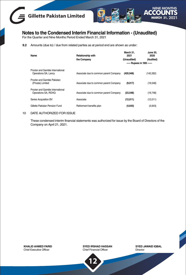



**Notes to the Condensed Interim Financial Information - (Unaudited)** For the Quarter and Nine Months Period Ended March 31, 2021

**9.2** Amounts (due to) / due from related parties as at period end are shown as under:

| Name                                                     | <b>Relationship with</b><br>the Company | March 31.<br>2021<br>(Unaudited) | <b>June 30.</b><br>2020<br>(Audited) |
|----------------------------------------------------------|-----------------------------------------|----------------------------------|--------------------------------------|
|                                                          |                                         | ----- Rupees in '000 ------      |                                      |
| Procter and Gamble International<br>Operations SA, Lancy | Associate due to common parent Company  | (420, 948)                       | (142, 262)                           |
| Procter and Gamble Pakistan<br>(Private) Limited         | Associate due to common parent Company  | (9,017)                          | (19,548)                             |
| Procter and Gamble International<br>Operations SA, ROHQ  | Associate due to common parent Company  | (23, 548)                        | (19,748)                             |
| Series Acquisition BV                                    | Associate                               | (12,011)                         | (12,011)                             |
| Gillette Pakistan Pension Fund                           | Retirement benefits plan                | (4,643)                          | (4,643)                              |

#### 10 DATE AUTHORIZED FOR ISSUE

 These condensed interim financial statements was authorized for issue by the Board of Directors of the Company on April 21, 2021.

**KHALID AHMED FARID** Chief Executive Officer

**SYED IRSHAD HASSAN** Chief Financial Officer